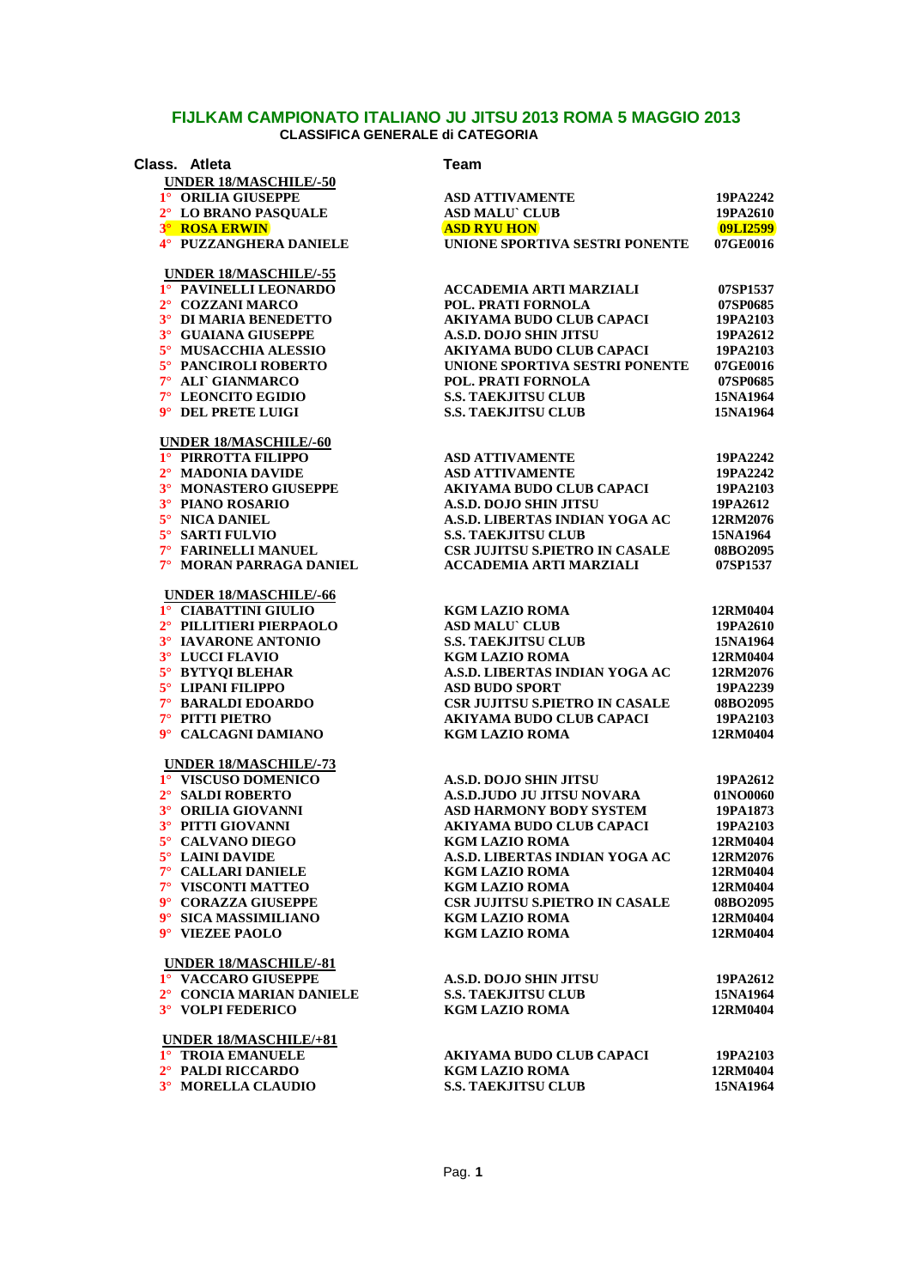| Class. Atleta                                       | <b>Team</b>                                                         |                      |
|-----------------------------------------------------|---------------------------------------------------------------------|----------------------|
| UNDER 18/MASCHILE/-50                               |                                                                     |                      |
| 1° ORILIA GIUSEPPE                                  | <b>ASD ATTIVAMENTE</b>                                              | 19PA2242             |
| 2° LO BRANO PASQUALE                                | <b>ASD MALU CLUB</b>                                                | 19PA2610             |
| <b>3° ROSA ERWIN</b>                                | <b>ASD RYU HON</b>                                                  | 09LI2599             |
| 4° PUZZANGHERA DANIELE                              | UNIONE SPORTIVA SESTRI PONENTE                                      | 07GE0016             |
| <b>UNDER 18/MASCHILE/-55</b>                        |                                                                     |                      |
| 1° PAVINELLI LEONARDO                               | <b>ACCADEMIA ARTI MARZIALI</b>                                      | 07SP1537             |
| 2° COZZANI MARCO                                    | POL. PRATI FORNOLA                                                  | 07SP0685             |
| 3° DI MARIA BENEDETTO                               | <b>AKIYAMA BUDO CLUB CAPACI</b>                                     | 19PA2103             |
| 3° GUAIANA GIUSEPPE                                 | <b>A.S.D. DOJO SHIN JITSU</b>                                       | 19PA2612             |
| 5° MUSACCHIA ALESSIO                                | <b>AKIYAMA BUDO CLUB CAPACI</b>                                     | 19PA2103             |
| 5° PANCIROLI ROBERTO                                | UNIONE SPORTIVA SESTRI PONENTE                                      | 07GE0016             |
| 7° ALT GIANMARCO                                    | POL. PRATI FORNOLA                                                  | 07SP0685             |
| 7° LEONCITO EGIDIO                                  | <b>S.S. TAEKJITSU CLUB</b>                                          | 15NA1964             |
| 9° DEL PRETE LUIGI                                  | <b>S.S. TAEKJITSU CLUB</b>                                          | 15NA1964             |
| <b>UNDER 18/MASCHILE/-60</b>                        |                                                                     |                      |
| 1° PIRROTTA FILIPPO<br>2° MADONIA DAVIDE            | <b>ASD ATTIVAMENTE</b><br><b>ASD ATTIVAMENTE</b>                    | 19PA2242             |
|                                                     | <b>AKIYAMA BUDO CLUB CAPACI</b>                                     | 19PA2242<br>19PA2103 |
| 3° MONASTERO GIUSEPPE<br>3° PIANO ROSARIO           | <b>A.S.D. DOJO SHIN JITSU</b>                                       | 19PA2612             |
| 5° NICA DANIEL                                      | A.S.D. LIBERTAS INDIAN YOGA AC                                      | 12RM2076             |
| 5° SARTI FULVIO                                     |                                                                     | 15NA1964             |
| 7° FARINELLI MANUEL                                 | <b>S.S. TAEKJITSU CLUB</b><br><b>CSR JUJITSU S.PIETRO IN CASALE</b> | 08BO2095             |
| 7° MORAN PARRAGA DANIEL                             | <b>ACCADEMIA ARTI MARZIALI</b>                                      | 07SP1537             |
|                                                     |                                                                     |                      |
| <b>UNDER 18/MASCHILE/-66</b>                        |                                                                     |                      |
| 1° CIABATTINI GIULIO                                | <b>KGM LAZIO ROMA</b>                                               | 12RM0404             |
| 2° PILLITIERI PIERPAOLO                             | <b>ASD MALU CLUB</b>                                                | 19PA2610             |
| 3° IAVARONE ANTONIO                                 | <b>S.S. TAEKJITSU CLUB</b>                                          | 15NA1964             |
| 3° LUCCI FLAVIO                                     | <b>KGM LAZIO ROMA</b>                                               | 12RM0404             |
| 5° BYTYQI BLEHAR                                    | A.S.D. LIBERTAS INDIAN YOGA AC                                      | 12RM2076             |
| 5° LIPANI FILIPPO                                   | <b>ASD BUDO SPORT</b>                                               | 19PA2239             |
| 7° BARALDI EDOARDO<br>7° PITTI PIETRO               | CSR JUJITSU S.PIETRO IN CASALE<br><b>AKIYAMA BUDO CLUB CAPACI</b>   | 08BO2095             |
| 9° CALCAGNI DAMIANO                                 | <b>KGM LAZIO ROMA</b>                                               | 19PA2103<br>12RM0404 |
|                                                     |                                                                     |                      |
| <b>UNDER 18/MASCHILE/-73</b><br>1° VISCUSO DOMENICO |                                                                     |                      |
|                                                     | A.S.D. DOJO SHIN JITSU<br>A.S.D.JUDO JU JITSU NOVARA                | 19PA2612             |
| 2° SALDI ROBERTO                                    | <b>ASD HARMONY BODY SYSTEM</b>                                      | 01NO0060             |
| 3° ORILIA GIOVANNI<br>3° PITTI GIOVANNI             |                                                                     | 19PA1873             |
| 5° CALVANO DIEGO                                    | AKIYAMA BUDO CLUB CAPACI<br><b>KGM LAZIO ROMA</b>                   | 19PA2103<br>12RM0404 |
| 5° LAINI DAVIDE                                     | A.S.D. LIBERTAS INDIAN YOGA AC                                      | 12RM2076             |
| 7° CALLARI DANIELE                                  | <b>KGM LAZIO ROMA</b>                                               | 12RM0404             |
| 7° VISCONTI MATTEO                                  | <b>KGM LAZIO ROMA</b>                                               | 12RM0404             |
| 9° CORAZZA GIUSEPPE                                 | <b>CSR JUJITSU S.PIETRO IN CASALE</b>                               | 08BO2095             |
| 9° SICA MASSIMILIANO                                | <b>KGM LAZIO ROMA</b>                                               | 12RM0404             |
| 9° VIEZEE PAOLO                                     | <b>KGM LAZIO ROMA</b>                                               | 12RM0404             |
| <b>UNDER 18/MASCHILE/-81</b>                        |                                                                     |                      |
| 1° VACCARO GIUSEPPE                                 | <b>A.S.D. DOJO SHIN JITSU</b>                                       | 19PA2612             |
| 2° CONCIA MARIAN DANIELE                            | <b>S.S. TAEKJITSU CLUB</b>                                          | 15NA1964             |
| 3° VOLPI FEDERICO                                   | <b>KGM LAZIO ROMA</b>                                               | 12RM0404             |
| UNDER 18/MASCHILE/+81                               |                                                                     |                      |
| 1° TROIA EMANUELE                                   | AKIYAMA BUDO CLUB CAPACI                                            | 19PA2103             |
| 2° PALDI RICCARDO                                   | <b>KGM LAZIO ROMA</b>                                               | 12RM0404             |
| 3° MORELLA CLAUDIO                                  | <b>S.S. TAEKJITSU CLUB</b>                                          | 15NA1964             |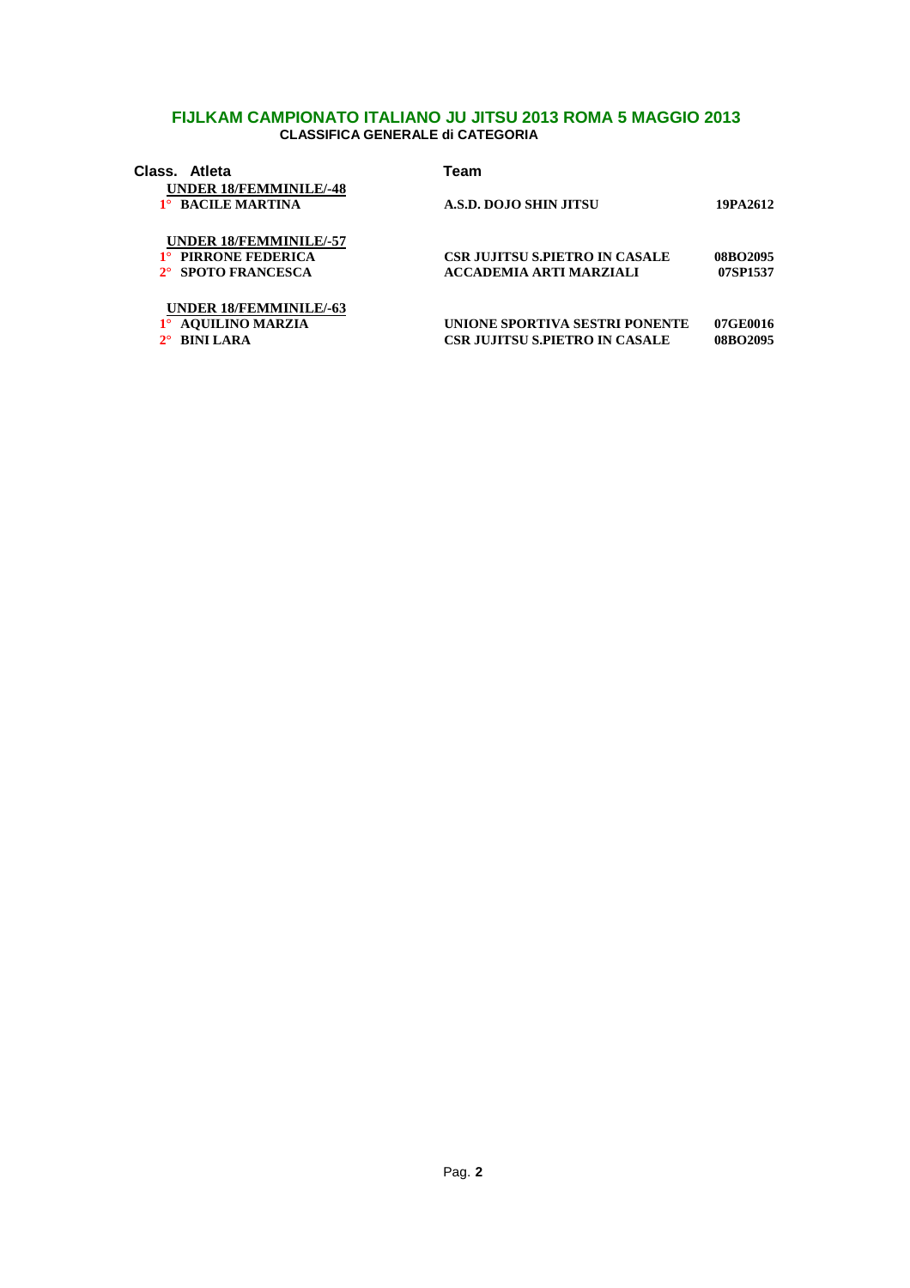| Class. Atleta |                                                    | Team                           |          |
|---------------|----------------------------------------------------|--------------------------------|----------|
|               | <b>UNDER 18/FEMMINILE/-48</b><br>1° BACILE MARTINA | A.S.D. DOJO SHIN JITSU         | 19PA2612 |
|               | <b>UNDER 18/FEMMINILE/-57</b>                      |                                |          |
|               | <b>PIRRONE FEDERICA</b>                            | CSR JUJITSU S.PIETRO IN CASALE | 08BO2095 |
|               | 2° SPOTO FRANCESCA                                 | ACCADEMIA ARTI MARZIALI        | 07SP1537 |
|               | <b>UNDER 18/FEMMINILE/-63</b>                      |                                |          |
|               | <b>AQUILINO MARZIA</b>                             | UNIONE SPORTIVA SESTRI PONENTE | 07GE0016 |
|               | <b>BINILARA</b>                                    | CSR JUJITSU S.PIETRO IN CASALE | 08BO2095 |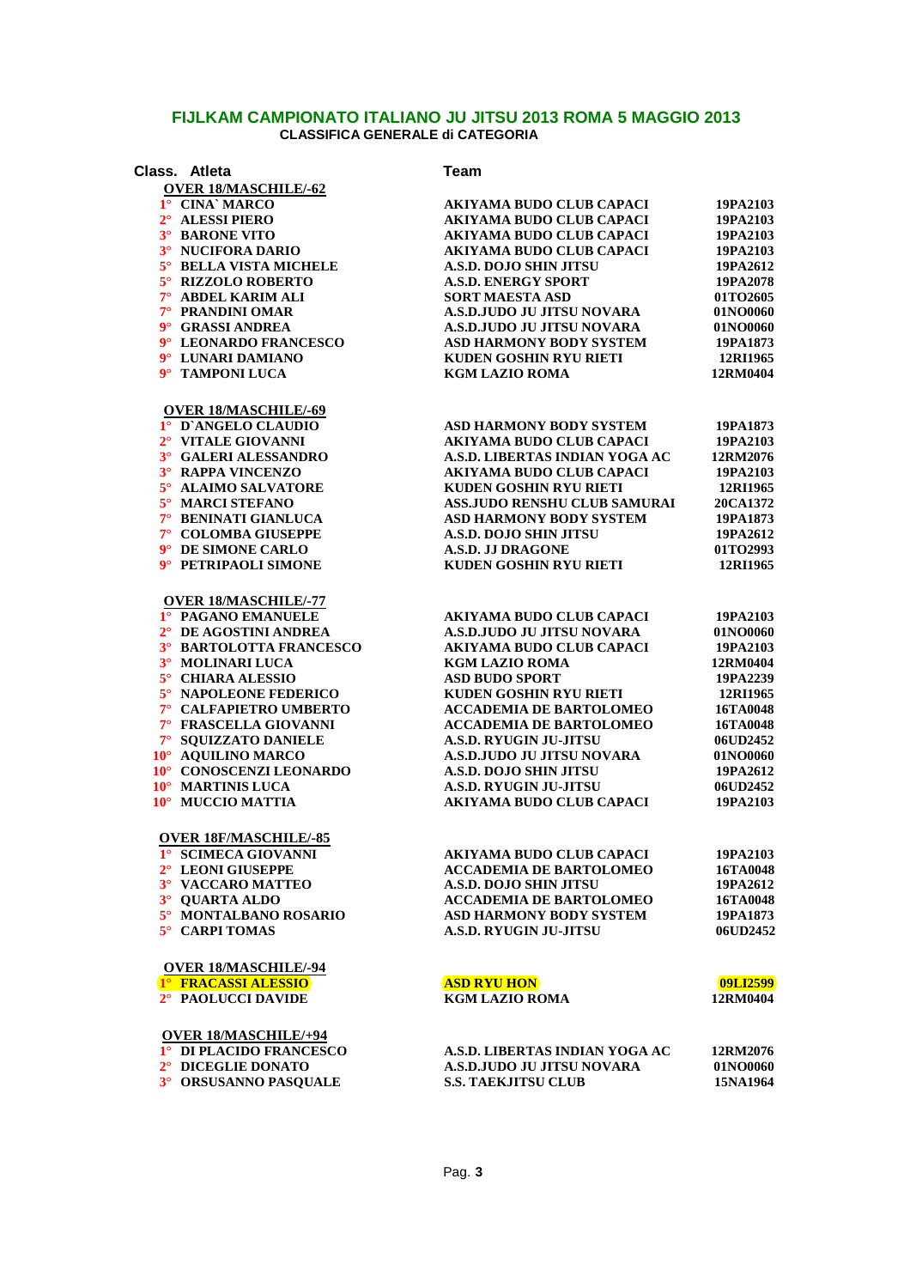| Class. Atleta                | <b>Team</b>                         |          |
|------------------------------|-------------------------------------|----------|
| <b>OVER 18/MASCHILE/-62</b>  |                                     |          |
| 1° CINA` MARCO               | <b>AKIYAMA BUDO CLUB CAPACI</b>     | 19PA2103 |
| 2° ALESSI PIERO              | <b>AKIYAMA BUDO CLUB CAPACI</b>     | 19PA2103 |
| 3° BARONE VITO               | <b>AKIYAMA BUDO CLUB CAPACI</b>     | 19PA2103 |
| 3° NUCIFORA DARIO            | <b>AKIYAMA BUDO CLUB CAPACI</b>     | 19PA2103 |
| 5° BELLA VISTA MICHELE       | <b>A.S.D. DOJO SHIN JITSU</b>       | 19PA2612 |
| 5° RIZZOLO ROBERTO           | <b>A.S.D. ENERGY SPORT</b>          | 19PA2078 |
| 7° ABDEL KARIM ALI           | <b>SORT MAESTA ASD</b>              | 01TO2605 |
| 7° PRANDINI OMAR             | A.S.D.JUDO JU JITSU NOVARA          | 01NO0060 |
| 9° GRASSI ANDREA             | <b>A.S.D.JUDO JU JITSU NOVARA</b>   | 01NO0060 |
| 9° LEONARDO FRANCESCO        | <b>ASD HARMONY BODY SYSTEM</b>      | 19PA1873 |
| 9° LUNARI DAMIANO            | KUDEN GOSHIN RYU RIETI              | 12RI1965 |
| 9° TAMPONI LUCA              | <b>KGM LAZIO ROMA</b>               | 12RM0404 |
| <b>OVER 18/MASCHILE/-69</b>  |                                     |          |
| 1° D'ANGELO CLAUDIO          | <b>ASD HARMONY BODY SYSTEM</b>      | 19PA1873 |
| 2° VITALE GIOVANNI           | <b>AKIYAMA BUDO CLUB CAPACI</b>     | 19PA2103 |
| 3° GALERI ALESSANDRO         | A.S.D. LIBERTAS INDIAN YOGA AC      | 12RM2076 |
| 3° RAPPA VINCENZO            | <b>AKIYAMA BUDO CLUB CAPACI</b>     | 19PA2103 |
| 5° ALAIMO SALVATORE          | KUDEN GOSHIN RYU RIETI              | 12RI1965 |
| 5° MARCI STEFANO             | <b>ASS.JUDO RENSHU CLUB SAMURAI</b> | 20CA1372 |
| 7° BENINATI GIANLUCA         | <b>ASD HARMONY BODY SYSTEM</b>      | 19PA1873 |
| 7° COLOMBA GIUSEPPE          | <b>A.S.D. DOJO SHIN JITSU</b>       | 19PA2612 |
| 9° DE SIMONE CARLO           | <b>A.S.D. JJ DRAGONE</b>            | 01TO2993 |
| 9° PETRIPAOLI SIMONE         | <b>KUDEN GOSHIN RYU RIETI</b>       | 12RI1965 |
| <b>OVER 18/MASCHILE/-77</b>  |                                     |          |
| 1° PAGANO EMANUELE           | <b>AKIYAMA BUDO CLUB CAPACI</b>     | 19PA2103 |
|                              |                                     |          |
| 2° DE AGOSTINI ANDREA        | A.S.D.JUDO JU JITSU NOVARA          | 01NO0060 |
| 3° BARTOLOTTA FRANCESCO      | <b>AKIYAMA BUDO CLUB CAPACI</b>     | 19PA2103 |
| 3° MOLINARI LUCA             | <b>KGM LAZIO ROMA</b>               | 12RM0404 |
| 5° CHIARA ALESSIO            | <b>ASD BUDO SPORT</b>               | 19PA2239 |
| 5° NAPOLEONE FEDERICO        | <b>KUDEN GOSHIN RYU RIETI</b>       | 12RI1965 |
| 7° CALFAPIETRO UMBERTO       | <b>ACCADEMIA DE BARTOLOMEO</b>      | 16TA0048 |
| 7° FRASCELLA GIOVANNI        | <b>ACCADEMIA DE BARTOLOMEO</b>      | 16TA0048 |
| 7° SQUIZZATO DANIELE         | <b>A.S.D. RYUGIN JU-JITSU</b>       | 06UD2452 |
| 10° AQUILINO MARCO           | A.S.D.JUDO JU JITSU NOVARA          | 01NO0060 |
| 10° CONOSCENZI LEONARDO      | <b>A.S.D. DOJO SHIN JITSU</b>       | 19PA2612 |
| 10° MARTINIS LUCA            | <b>A.S.D. RYUGIN JU-JITSU</b>       | 06UD2452 |
| 10° MUCCIO MATTIA            | <b>AKIYAMA BUDO CLUB CAPACI</b>     | 19PA2103 |
| <b>OVER 18F/MASCHILE/-85</b> |                                     |          |
| 1° SCIMECA GIOVANNI          | <b>AKIYAMA BUDO CLUB CAPACI</b>     | 19PA2103 |
| 2° LEONI GIUSEPPE            | <b>ACCADEMIA DE BARTOLOMEO</b>      | 16TA0048 |
| 3° VACCARO MATTEO            | <b>A.S.D. DOJO SHIN JITSU</b>       | 19PA2612 |
| 3° OUARTA ALDO               | <b>ACCADEMIA DE BARTOLOMEO</b>      | 16TA0048 |
| 5° MONTALBANO ROSARIO        | <b>ASD HARMONY BODY SYSTEM</b>      | 19PA1873 |
| 5° CARPI TOMAS               | <b>A.S.D. RYUGIN JU-JITSU</b>       | 06UD2452 |
| <b>OVER 18/MASCHILE/-94</b>  |                                     |          |
| 1° FRACASSI ALESSIO          | <b>ASD RYU HON</b>                  | 09LI2599 |
| 2° PAOLUCCI DAVIDE           | <b>KGM LAZIO ROMA</b>               | 12RM0404 |
| <b>OVER 18/MASCHILE/+94</b>  |                                     |          |
| 1º DI PLACIDO FRANCESCO      | A.S.D. LIBERTAS INDIAN YOGA AC      | 12RM2076 |
| 2° DICEGLIE DONATO           | A.S.D.JUDO JU JITSU NOVARA          | 01NO0060 |
| 3° ORSUSANNO PASQUALE        | <b>S.S. TAEKJITSU CLUB</b>          | 15NA1964 |
|                              |                                     |          |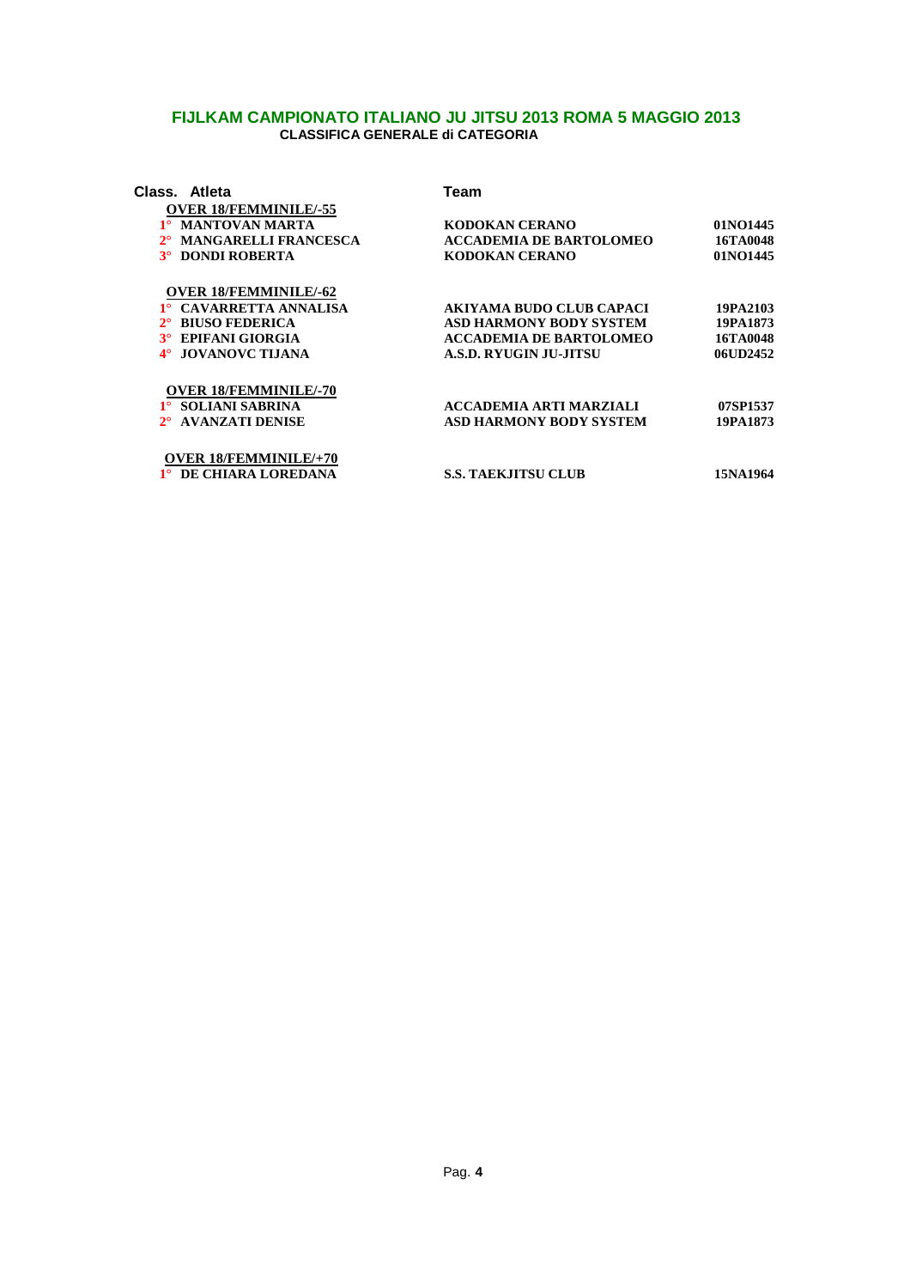| Class. Atleta                | Team                            |          |
|------------------------------|---------------------------------|----------|
| <b>OVER 18/FEMMINILE/-55</b> |                                 |          |
| 1° MANTOVAN MARTA            | KODOKAN CERANO                  | 01NO1445 |
| <b>MANGARELLI FRANCESCA</b>  | <b>ACCADEMIA DE BARTOLOMEO</b>  | 16TA0048 |
| 3° DONDI ROBERTA             | <b>KODOKAN CERANO</b>           | 01NO1445 |
| <b>OVER 18/FEMMINILE/-62</b> |                                 |          |
| 1° CAVARRETTA ANNALISA       | <b>AKIYAMA BUDO CLUB CAPACI</b> | 19PA2103 |
| <b>BIUSO FEDERICA</b>        | ASD HARMONY BODY SYSTEM         | 19PA1873 |
| 3° EPIFANI GIORGIA           | <b>ACCADEMIA DE BARTOLOMEO</b>  | 16TA0048 |
| <b>JOVANOVC TIJANA</b>       | <b>A.S.D. RYUGIN JU-JITSU</b>   | 06UD2452 |
| <b>OVER 18/FEMMINILE/-70</b> |                                 |          |
| 1° SOLIANI SABRINA           | <b>ACCADEMIA ARTI MARZIALI</b>  | 07SP1537 |
| <b>AVANZATI DENISE</b>       | <b>ASD HARMONY BODY SYSTEM</b>  | 19PA1873 |
| <b>OVER 18/FEMMINILE/+70</b> |                                 |          |
| 1° DE CHIARA LOREDANA        | <b>S.S. TAEKJITSU CLUB</b>      | 15NA1964 |